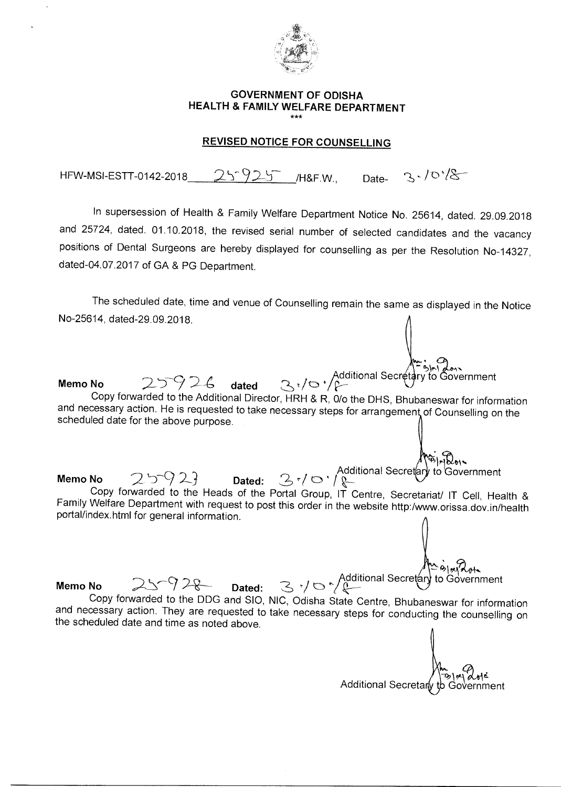

## **GOVERNMENT OF ODISHA HEALTH & FAMILY WELFARE DEPARTMENT**  \*\*\*

## **REVISED NOTICE FOR COUNSELLING**

 $3.70^{18}$ HFW-MSI-ESTT-0142-2018  $25925$  /H&F.W., Date-

In supersession of Health & Family Welfare Department Notice No. 25614, dated. 29.09.2018 and 25724, dated. 01.10.2018, the revised serial number of selected candidates and the vacancy positions of Dental Surgeons are hereby displayed for counselling as per the Resolution No-14327, dated-04.07.2017 of GA & PG Department.

The scheduled date, time and venue of Counselling remain the same as displayed in the Notice No-25614, dated-29.09.2018.

to Government Memo No 25926 dated 3<sup>r</sup>/o<sup>r</sup>/<sup>Additional Secretary to Government</sup> Copy forwarded to the Additional Director, HRH & R, 0/o the DHS, Bhubaneswar for information and necessary action. He is requested to take necessary steps for arrangement of Counselling on the scheduled date for the above purpose.

Additional Secretary to Government  $Memo No$   $2592$   $Dated: 3101$ Copy forwarded to the Heads of the Portal Group, IT Centre, Secretariat/ IT Cell, Health & Family Welfare Department with request to post this order in the website http:/www.orissa.dov.in/health portal/index.html for general information.

dditional Secretary to Government  $Memo No$   $25928$  Dated: Copy forwarded to the DDG and SIO, NIC, Odisha State Centre, Bhubaneswar for information and necessary action. They are requested to take necessary steps for conducting the counselling on the scheduled date and time as noted above.

Additional Secretary to Government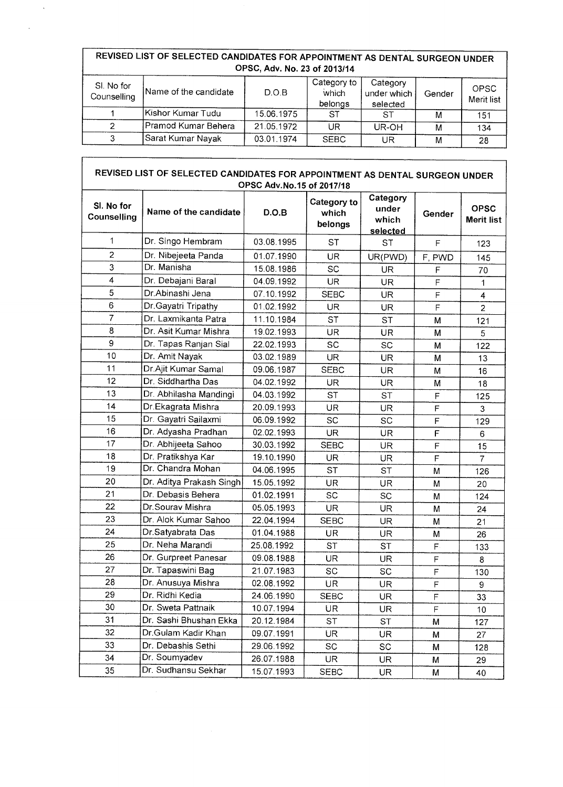## **REVISED LIST OF SELECTED CANDIDATES FOR APPOINTMENT AS DENTAL SURGEON UNDER OPSC, Adv. No. 23 of 2013/14**

 $\ddot{\phantom{a}}$ 

| SI. No for<br>Counselling | Name of the candidate | D.O.B      | Category to<br>which<br>belongs | Category<br>under which<br>selected | Gender | <b>OPSC</b><br>Merit list |
|---------------------------|-----------------------|------------|---------------------------------|-------------------------------------|--------|---------------------------|
|                           | lKishor Kumar Tudu    | 15.06.1975 | <b>ST</b>                       | ST                                  | м      | 151                       |
|                           | Pramod Kumar Behera   | 21.05.1972 | UR                              | UR-OH                               | M      | 134                       |
|                           | Sarat Kumar Nayak     | 03.01.1974 | <b>SEBC</b>                     | UR                                  | м      | 28                        |

## **REVISED LIST OF SELECTED CANDIDATES FOR APPOINTMENT AS DENTAL SURGEON UNDER OPSC Adv.No.15 of 2017/18**

| SI. No for<br>Counselling | Name of the candidate    | D.O.B      | Category to<br>which<br>belongs | Category<br>under<br>which<br>selected | Gender      | <b>OPSC</b><br>Merit list |
|---------------------------|--------------------------|------------|---------------------------------|----------------------------------------|-------------|---------------------------|
| $\mathbf{1}$              | Dr. Singo Hembram        | 03.08.1995 | SТ                              | SТ                                     | F           | 123                       |
| $\overline{2}$            | Dr. Nibejeeta Panda      | 01.07.1990 | <b>UR</b>                       | UR(PWD)                                | F, PWD      | 145                       |
| 3                         | Dr. Manisha              | 15.08.1986 | SC                              | UR                                     | F           | 70                        |
| 4                         | Dr. Debajani Baral       | 04.09.1992 | UR                              | UR                                     | F           | 1                         |
| 5                         | Dr.Abinashi Jena         | 07.10.1992 | <b>SEBC</b>                     | UR                                     | F           | 4                         |
| 6                         | Dr. Gayatri Tripathy     | 01.02.1992 | UR                              | UR                                     | F           | $\overline{2}$            |
| 7                         | Dr. Laxmikanta Patra     | 11.10.1984 | ST                              | <b>ST</b>                              | М           | 121                       |
| 8                         | Dr. Asit Kumar Mishra    | 19.02.1993 | UR                              | UR                                     | М           | 5                         |
| 9                         | Dr. Tapas Ranjan Sial    | 22.02.1993 | SC                              | <b>SC</b>                              | М           | 122                       |
| 10                        | Dr. Amit Nayak           | 03.02.1989 | <b>UR</b>                       | UR                                     | M           | 13                        |
| 11                        | Dr Ajit Kumar Samal      | 09.06.1987 | <b>SEBC</b>                     | UR                                     | М           | 16                        |
| 12                        | Dr. Siddhartha Das       | 04.02.1992 | UR                              | UR                                     | М           | 18                        |
| 13                        | Dr. Abhilasha Mandingi   | 04.03.1992 | <b>ST</b>                       | ST                                     | F           | 125                       |
| 14                        | Dr.Ekagrata Mishra       | 20.09.1993 | UR                              | UR.                                    | F           | 3                         |
| 15                        | Dr. Gayatri Sailaxmi     | 06.09.1992 | SC                              | SC                                     | F           | 129                       |
| 16                        | Dr. Adyasha Pradhan      | 02.02.1993 | UR                              | UR                                     | F           | 6                         |
| 17                        | Dr. Abhijeeta Sahoo      | 30.03.1992 | <b>SEBC</b>                     | UR                                     | F           | 15                        |
| 18                        | Dr. Pratikshya Kar       | 19.10.1990 | UR                              | UR                                     | $\mathsf F$ | 7                         |
| 19                        | Dr. Chandra Mohan        | 04.06.1995 | <b>ST</b>                       | ST                                     | М           | 126                       |
| 20                        | Dr. Aditya Prakash Singh | 15.05.1992 | UR                              | UR                                     | М           | 20                        |
| 21                        | Dr. Debasis Behera       | 01.02.1991 | SC                              | SC                                     | М           | 124                       |
| 22                        | Dr.Sourav Mishra         | 05.05.1993 | <b>UR</b>                       | UR                                     | М           | 24                        |
| 23                        | Dr. Alok Kumar Sahoo     | 22.04.1994 | <b>SEBC</b>                     | UR                                     | М           | 21                        |
| 24                        | Dr.Satyabrata Das        | 01.04.1988 | UR                              | UR                                     | M           | 26                        |
| 25                        | Dr. Neha Marandi         | 25.08.1992 | <b>ST</b>                       | <b>ST</b>                              | F           | 133                       |
| 26                        | Dr. Gurpreet Panesar     | 09.08.1988 | UR                              | UR                                     | F           | 8                         |
| 27                        | Dr. Tapaswini Bag        | 21.07.1983 | SC                              | SC                                     | F           | 130                       |
| 28                        | Dr. Anusuya Mishra       | 02.08.1992 | UR                              | UR                                     | F           | 9                         |
| 29                        | Dr. Ridhi Kedia          | 24.06.1990 | <b>SEBC</b>                     | UR                                     | F           | 33                        |
| 30                        | Dr. Sweta Pattnaik       | 10.07.1994 | UR                              | UR                                     | F           | 10                        |
| 31                        | Dr. Sashi Bhushan Ekka   | 20.12.1984 | ST                              | <b>ST</b>                              | М           | 127                       |
| 32                        | Dr.Gulam Kadir Khan      | 09.07.1991 | <b>UR</b>                       | UR                                     | М           | 27                        |
| 33                        | Dr. Debashis Sethi       | 29.06.1992 | SC                              | SC                                     | M           | 128                       |
| 34                        | Dr. Soumyadev            | 26.07.1988 | UR                              | UR                                     | Μ           | 29                        |
| 35                        | Dr. Sudhansu Sekhar      | 15.07.1993 | <b>SEBC</b>                     | UR                                     | M           | 40                        |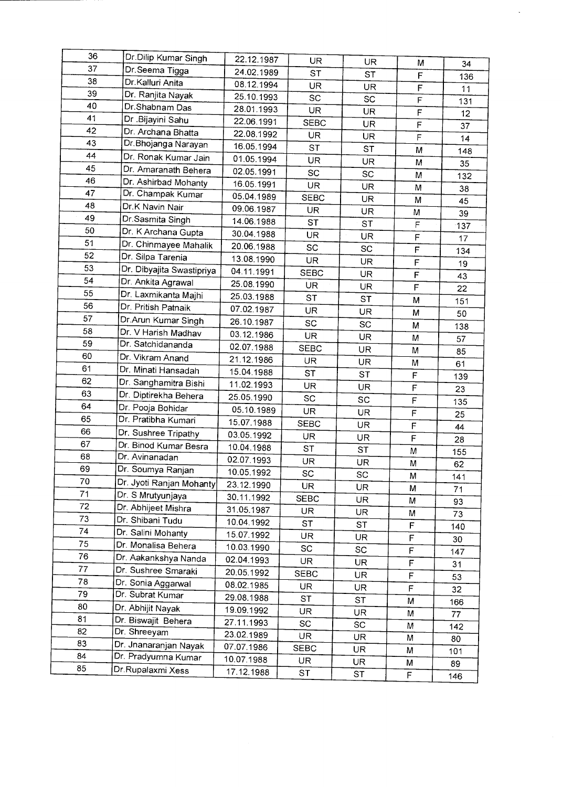| 36 | Dr.Dilip Kumar Singh      |            |             |           |                |     |
|----|---------------------------|------------|-------------|-----------|----------------|-----|
| 37 | Dr.Seema Tigga            | 22.12.1987 | <b>UR</b>   | UR        | M              | 34  |
| 38 | Dr.Kalluri Anita          | 24.02.1989 | <b>ST</b>   | ST        | F              | 136 |
| 39 | Dr. Ranjita Nayak         | 08.12.1994 | <b>UR</b>   | <b>UR</b> | $\overline{F}$ | 11  |
| 40 | Dr.Shabnam Das            | 25.10.1993 | SC          | SC        | F              | 131 |
| 41 | Dr .Bijayini Sahu         | 28.01.1993 | <b>UR</b>   | <b>UR</b> | F              | 12  |
| 42 | Dr. Archana Bhatta        | 22.06.1991 | <b>SEBC</b> | UR        | $\overline{F}$ | 37  |
| 43 | Dr. Bhojanga Narayan      | 22.08.1992 | UR          | <b>UR</b> | F              | 14  |
| 44 | Dr. Ronak Kumar Jain      | 16.05.1994 | <b>ST</b>   | <b>ST</b> | M              | 148 |
| 45 | Dr. Amaranath Behera      | 01.05.1994 | UR.         | <b>UR</b> | M              | 35  |
| 46 | Dr. Ashirbad Mohanty      | 02.05.1991 | <b>SC</b>   | SC        | M              | 132 |
| 47 | Dr. Champak Kumar         | 16.05.1991 | UR.         | UR        | M              | 38  |
| 48 | Dr.K Navin Nair           | 05.04.1989 | <b>SEBC</b> | UR        | М              | 45  |
| 49 | Dr.Sasmita Singh          | 09.06.1987 | UR          | UR        | M              | 39  |
| 50 |                           | 14.06.1988 | <b>ST</b>   | <b>ST</b> | $\mathsf F$    | 137 |
| 51 | Dr. K Archana Gupta       | 30.04.1988 | <b>UR</b>   | <b>UR</b> | F              | 17  |
| 52 | Dr. Chinmayee Mahalik     | 20.06.1988 | SC          | SC        | $\mathsf F$    | 134 |
| 53 | Dr. Silpa Tarenia         | 13.08.1990 | <b>UR</b>   | UR.       | F              | 19  |
| 54 | Dr. Dibyajita Swastipriya | 04.11.1991 | <b>SEBC</b> | <b>UR</b> | $\mathsf F$    | 43  |
| 55 | Dr. Ankita Agrawal        | 25.08.1990 | <b>UR</b>   | <b>UR</b> | F              | 22  |
| 56 | Dr. Laxmikanta Majhi      | 25.03.1988 | <b>ST</b>   | <b>ST</b> | M              | 151 |
| 57 | Dr. Pritish Patnaik       | 07.02.1987 | UR          | UR        | M              | 50  |
|    | Dr.Arun Kumar Singh       | 26.10.1987 | SC          | SC        | M              | 138 |
| 58 | Dr. V Harish Madhav       | 03.12.1986 | UR.         | UR        | M              | 57  |
| 59 | Dr. Satchidananda         | 02.07.1988 | <b>SEBC</b> | UR        | M              | 85  |
| 60 | Dr. Vikram Anand          | 21.12.1986 | UR.         | UR        | M              | 61  |
| 61 | Dr. Minati Hansadah       | 15.04.1988 | <b>ST</b>   | <b>ST</b> | F              | 139 |
| 62 | Dr. Sanghamitra Bishi     | 11.02.1993 | UR          | UR.       | F              | 23  |
| 63 | Dr. Diptirekha Behera     | 25.05.1990 | SC          | SC        | F              | 135 |
| 64 | Dr. Pooja Bohidar         | 05.10.1989 | UR          | UR.       | F              | 25  |
| 65 | Dr. Pratibha Kumari       | 15.07.1988 | <b>SEBC</b> | UR        | F              | 44  |
| 66 | Dr. Sushree Tripathy      | 03.05.1992 | UR          | UR.       | F              | 28  |
| 67 | Dr. Binod Kumar Besra     | 10.04.1988 | <b>ST</b>   | <b>ST</b> | M              | 155 |
| 68 | Dr. Avinanadan            | 02.07.1993 | UR          | <b>UR</b> | M              | 62  |
| 69 | Dr. Soumya Ranjan         | 10.05.1992 | SC          | SC        | M              | 141 |
| 70 | Dr. Jyoti Ranjan Mohanty  | 23.12.1990 | UR.         | UR        | M              | 71  |
| 71 | Dr. S Mrutyunjaya         | 30.11.1992 | <b>SEBC</b> | UR        | M              | 93  |
| 72 | Dr. Abhijeet Mishra       | 31.05.1987 | UR          | UR.       | M              | 73  |
| 73 | Dr. Shibani Tudu          | 10.04.1992 | <b>ST</b>   | <b>ST</b> | F              | 140 |
| 74 | Dr. Salini Mohanty        | 15.07.1992 | UR          | <b>UR</b> | F              | 30  |
| 75 | Dr. Monalisa Behera       | 10.03.1990 | SC          | SC        | F              | 147 |
| 76 | Dr. Aakankshya Nanda      | 02.04.1993 | UR          | UR        | F              | 31  |
| 77 | Dr. Sushree Smaraki       | 20.05.1992 | <b>SEBC</b> | <b>UR</b> | F              | 53  |
| 78 | Dr. Sonia Aggarwal        | 08.02.1985 | UR          | UR        | F              |     |
| 79 | Dr. Subrat Kumar          | 29.08.1988 | <b>ST</b>   | ST        | M              | 32  |
| 80 | Dr. Abhijit Nayak         | 19.09.1992 | UR          | UR.       | M              | 166 |
| 81 | Dr. Biswajit Behera       | 27.11.1993 | SC          | SC        | M              | 77  |
| 82 | Dr. Shreeyam              | 23.02.1989 | <b>UR</b>   | UR.       | M              | 142 |
| 83 | Dr. Jnanaranjan Nayak     | 07.07.1986 | <b>SEBC</b> | UR.       | М              | 80  |
| 84 | Dr. Pradyumna Kumar       | 10.07.1988 | UR          | UR        | M              | 101 |
| 85 | Dr.Rupalaxmi Xess         | 17.12.1988 | ST          | <b>ST</b> | F              | 89  |
|    |                           |            |             |           |                | 146 |

 $\ddot{\phantom{0}}$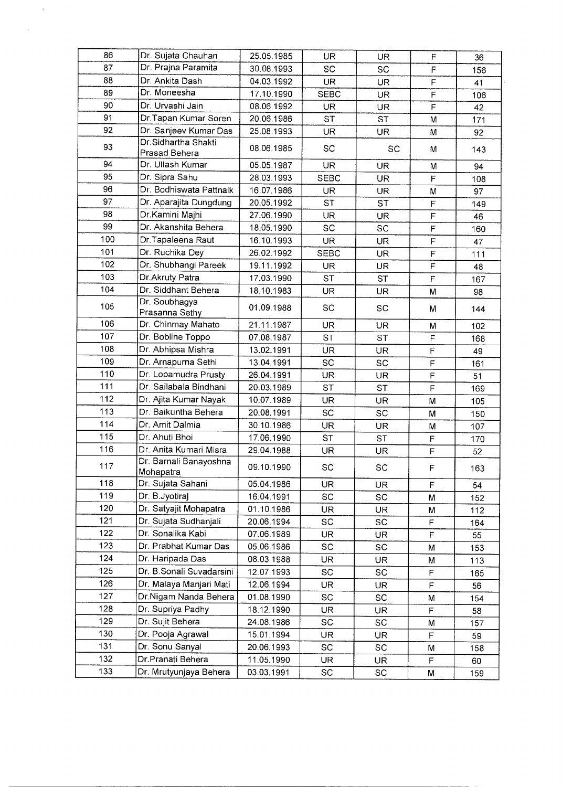| 86  | Dr. Sujata Chauhan<br>Dr. Prajna Paramita | 25.05.1985 | UR          | UR        | $\mathsf F$              | 36        |
|-----|-------------------------------------------|------------|-------------|-----------|--------------------------|-----------|
| 87  |                                           | 30.08.1993 | SC          | SC        | $\mathbb{P}$             | 156       |
| 88  | Dr. Ankita Dash                           | 04.03.1992 | UR          | UR        | $\mathsf F$              | 41        |
| 89  | Dr. Moneesha                              | 17.10.1990 | <b>SEBC</b> | <b>UR</b> | $\widetilde{\mathsf{F}}$ | 106       |
| 90  | Dr. Urvashi Jain                          | 08.06.1992 | UR.         | <b>UR</b> | $\mathsf F$              | 42        |
| 91  | Dr.Tapan Kumar Soren                      | 20.06.1986 | <b>ST</b>   | <b>ST</b> | M                        | 171       |
| 92  | Dr. Sanjeev Kumar Das                     | 25.08.1993 | <b>UR</b>   | <b>UR</b> | М                        | 92        |
| 93  | Dr.Sidhartha Shakti<br>Prasad Behera      | 08.06.1985 | <b>SC</b>   | SC        | М                        | 143       |
| 94  | Dr. Ullash Kumar                          | 05.05.1987 | <b>UR</b>   | <b>UR</b> | M                        | 94        |
| 95  | Dr. Sipra Sahu                            | 28.03.1993 | <b>SEBC</b> | <b>UR</b> | F                        | 108       |
| 96  | Dr. Bodhiswata Pattnaik                   | 16.07.1986 | <b>UR</b>   | UR        | M                        | 97        |
| 97  | Dr. Aparajita Dungdung                    | 20.05.1992 | <b>ST</b>   | ST        | $\mathsf F$              | 149       |
| 98  | Dr.Kamini Majhi                           | 27.06.1990 | <b>UR</b>   | UR        | F                        | 46        |
| 99  | Dr. Akanshita Behera                      | 18.05.1990 | SC          | SC        | F                        | 160       |
| 100 | Dr.Tapaleena Raut                         | 16.10.1993 | <b>UR</b>   | UR        | $\overline{F}$           | 47        |
| 101 | Dr. Ruchika Dey                           | 26.02.1992 | <b>SEBC</b> | UR        | $\mathsf F$              | 111       |
| 102 | Dr. Shubhangi Pareek                      | 19.11.1992 | <b>UR</b>   | UR        | F                        | 48        |
| 103 | Dr. Akruty Patra                          | 17.03.1990 | <b>ST</b>   | <b>ST</b> | $\mathsf F$              | 167       |
| 104 | Dr. Siddhant Behera                       | 18.10.1983 | UR.         | UR        | M                        | 98        |
| 105 | Dr. Soubhagya<br>Prasanna Sethy           | 01.09.1988 | SC          | SC        | М                        | 144       |
| 106 | Dr. Chinmay Mahato                        | 21.11.1987 | UR          | UR        | M                        | 102       |
| 107 | Dr. Bobline Toppo                         | 07.08.1987 | <b>ST</b>   | <b>ST</b> | F                        | 168       |
| 108 | Dr. Abhipsa Mishra                        | 13.02.1991 | UR.         | UR        | $\mathsf F$              | 49        |
| 109 | Dr. Arnapurna Sethi                       | 13.04.1991 | <b>SC</b>   | SC        | F                        | 161       |
| 110 | Dr. Lopamudra Prusty                      | 26.04.1991 | <b>UR</b>   | UR        | $\mathsf F$              | 51        |
| 111 | Dr. Sailabala Bindhani                    | 20.03.1989 | <b>ST</b>   | <b>ST</b> | $\mathsf F$              | 169       |
| 112 | Dr. Ajita Kumar Nayak                     | 10.07.1989 | <b>UR</b>   | <b>UR</b> | M                        | 105       |
| 113 | Dr. Baikuntha Behera                      | 20.08.1991 | SC          | SC        | M                        | 150       |
| 114 | Dr. Amit Dalmia                           | 30.10.1986 | UR          | UR        | M                        | 107       |
| 115 | Dr. Ahuti Bhoi                            | 17.06.1990 | <b>ST</b>   | ST        | $\mathsf F$              | 170       |
| 116 | Dr. Anita Kumari Misra                    | 29.04.1988 | <b>UR</b>   | UR        | $\mathsf F$              | 52        |
| 117 | Dr. Barnali Banayoshna<br>Mohapatra       | 09.10.1990 | SC          | SC        | F                        | 163       |
| 118 | Dr. Sujata Sahani                         | 05.04.1986 | UR          | UR        | F                        | 54        |
| 119 | Dr. B.Jyotiraj                            | 16.04.1991 | SC          | SC        | М                        | 152       |
| 120 | Dr. Satyajit Mohapatra                    | 01.10.1986 | UR.         | UR        | М                        | 112       |
| 121 | Dr. Sujata Sudhanjali                     | 20.06.1994 | SC          | SC        | F                        | 164       |
| 122 | Dr. Sonalika Kabi                         | 07.06.1989 | <b>UR</b>   | UR        | F                        | 55        |
| 123 | Dr. Prabhat Kumar Das                     | 05.06.1986 | SC          | SC        | M                        | 153       |
| 124 | Dr. Haripada Das                          | 08.03.1988 | UR          | UR        | М                        | 113       |
| 125 | Dr. B.Sonali Suvadarsini                  | 12.07.1993 | SC          | SC        | F                        | 165       |
| 126 | Dr. Malaya Manjari Mati                   | 12.06.1994 | UR.         | UR        | F                        |           |
| 127 | Dr.Nigam Nanda Behera                     | 01.08.1990 | SC          | SC        | М                        | 56<br>154 |
| 128 | Dr. Supriya Padhy                         | 18.12.1990 | UR.         | UR.       | F                        |           |
| 129 | Dr. Sujit Behera                          | 24.08.1986 | SC          | SC        |                          | 58        |
| 130 | Dr. Pooja Agrawal                         | 15.01.1994 | UR.         | UR        | М<br>F                   | 157<br>59 |
| 131 | Dr. Sonu Sanyal                           | 20.06.1993 | SC          | SC        |                          |           |
| 132 | Dr.Pranati Behera                         | 11.05.1990 | <b>UR</b>   | UR        | M<br>F                   | 158       |
| 133 | Dr. Mrutyunjaya Behera                    | 03.03.1991 | SC          | SC        |                          | 60        |
|     |                                           |            |             |           | М                        | 159       |

 $\frac{1}{2} \frac{1}{2} \frac{1}{2} \frac{1}{2}$ 

 $\mathcal{L}^{(1)}$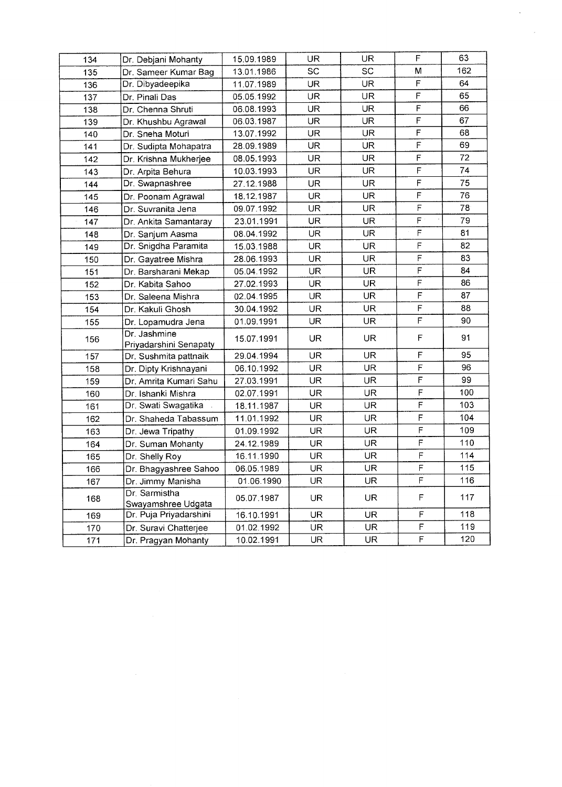| 134 | Dr. Debjani Mohanty                    | 15.09.1989 | UR.       | UR.       | F                       | 63  |
|-----|----------------------------------------|------------|-----------|-----------|-------------------------|-----|
| 135 | Dr. Sameer Kumar Bag                   | 13.01.1986 | SC        | <b>SC</b> | м                       | 162 |
| 136 | Dr. Dibyadeepika                       | 11.07.1989 | <b>UR</b> | <b>UR</b> | F                       | 64  |
| 137 | Dr. Pinali Das                         | 05.05.1992 | <b>UR</b> | <b>UR</b> | $\mathsf F$             | 65  |
| 138 | Dr. Chenna Shruti                      | 06.08.1993 | <b>UR</b> | UR        | F                       | 66  |
| 139 | Dr. Khushbu Agrawal                    | 06.03.1987 | UR.       | UR.       | $\mathsf F$             | 67  |
| 140 | Dr. Sneha Moturi                       | 13.07.1992 | UR.       | UR.       | $\mathsf F$             | 68  |
| 141 | Dr. Sudipta Mohapatra                  | 28.09.1989 | <b>UR</b> | <b>UR</b> | F                       | 69  |
| 142 | Dr. Krishna Mukherjee                  | 08.05.1993 | <b>UR</b> | <b>UR</b> | F                       | 72  |
| 143 | Dr. Arpita Behura                      | 10.03.1993 | UR        | <b>UR</b> | F                       | 74  |
| 144 | Dr. Swapnashree                        | 27.12.1988 | UR        | UR.       | F                       | 75  |
| 145 | Dr. Poonam Agrawal                     | 18.12.1987 | <b>UR</b> | UR.       | $\mathsf F$             | 76  |
| 146 | Dr. Suvranita Jena                     | 09.07.1992 | UR.       | UR.       | $\mathsf F$             | 78  |
| 147 | Dr. Ankita Samantaray                  | 23.01.1991 | UR.       | UR        | F                       | 79  |
| 148 | Dr. Sanjum Aasma                       | 08.04.1992 | <b>UR</b> | <b>UR</b> | $\mathsf F$             | 81  |
| 149 | Dr. Snigdha Paramita                   | 15.03.1988 | UR.       | UR        | $\mathsf F$             | 82  |
| 150 | Dr. Gayatree Mishra                    | 28.06.1993 | UR.       | <b>UR</b> | $\overline{\mathsf{F}}$ | 83  |
| 151 | Dr. Barsharani Mekap                   | 05.04.1992 | UR.       | UR.       | $\mathsf F$             | 84  |
| 152 | Dr. Kabita Sahoo                       | 27.02.1993 | <b>UR</b> | UR.       | $\mathsf F$             | 86  |
| 153 | Dr. Saleena Mishra                     | 02.04.1995 | UR.       | UR.       | $\mathsf F$             | 87  |
| 154 | Dr. Kakuli Ghosh                       | 30.04.1992 | UR.       | <b>UR</b> | $\mathsf F$             | 88  |
| 155 | Dr. Lopamudra Jena                     | 01.09.1991 | UR.       | <b>UR</b> | F                       | 90  |
| 156 | Dr. Jashmine<br>Priyadarshini Senapaty | 15.07.1991 | <b>UR</b> | UR.       | F                       | 91  |
| 157 | Dr. Sushmita pattnaik                  | 29.04.1994 | UR.       | <b>UR</b> | F                       | 95  |
| 158 | Dr. Dipty Krishnayani                  | 06.10.1992 | <b>UR</b> | <b>UR</b> | F                       | 96  |
| 159 | Dr. Amrita Kumari Sahu                 | 27.03.1991 | UR.       | <b>UR</b> | F                       | 99  |
| 160 | Dr. Ishanki Mishra                     | 02.07.1991 | UR        | UR.       | F                       | 100 |
| 161 | Dr. Swati Swagatika                    | 18.11.1987 | <b>UR</b> | UR.       | $\mathsf F$             | 103 |
| 162 | Dr. Shaheda Tabassum                   | 11.01.1992 | UR.       | UR        | F                       | 104 |
| 163 | Dr. Jewa Tripathy                      | 01.09.1992 | UR        | <b>UR</b> | F                       | 109 |
| 164 | Dr. Suman Mohanty                      | 24.12.1989 | <b>UR</b> | UR.       | $\mathsf F$             | 110 |
| 165 | Dr. Shelly Roy                         | 16.11.1990 | UR        | UR.       | $\mathsf F$             | 114 |
| 166 | Dr. Bhagyashree Sahoo                  | 06 05.1989 | <b>UR</b> | <b>UR</b> | $\overline{F}$          | 115 |
| 167 | Dr. Jimmy Manisha                      | 01.06.1990 | UR        | <b>UR</b> | F                       | 116 |
| 168 | Dr. Sarmistha<br>Swayamshree Udgata    | 05.07.1987 | UR        | UR.       | F                       | 117 |
| 169 | Dr. Puja Priyadarshini                 | 16.10.1991 | UR        | UR        | F                       | 118 |
| 170 | Dr. Suravi Chatterjee                  | 01.02.1992 | UR        | UR.       | F                       | 119 |
| 171 | Dr. Pragyan Mohanty                    | 10.02.1991 | UR.       | UR.       | $\mathsf F$             | 120 |

 $\label{eq:1} \frac{1}{\sqrt{2}}\int_{0}^{\pi}\frac{1}{\sqrt{2}}\left(\frac{1}{\sqrt{2}}\right)^{2}d\mu_{0}^{2}d\mu_{0}^{2}d\mu_{0}^{2}$ 

 $\frac{1}{2}$  ,  $\frac{1}{2}$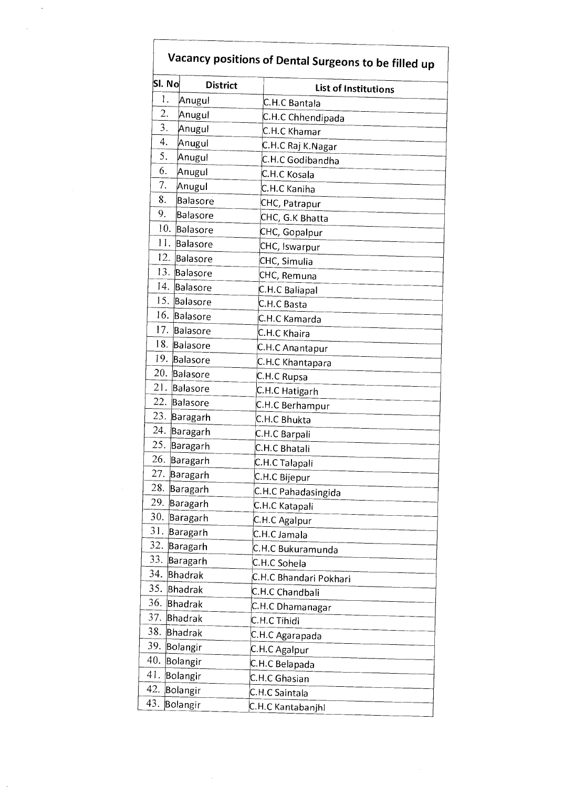| SI. No | <b>District</b> | <b>List of Institutions</b> |
|--------|-----------------|-----------------------------|
| 1.     | Anugul          | C.H.C Bantala               |
| 2.     | Anugul          | C.H.C Chhendipada           |
| 3.     | Anugul          | C.H.C Khamar                |
| 4.     | Anugul          | C.H.C Raj K.Nagar           |
| 5.     | Anugul          | C.H.C Godibandha            |
| 6.     | Anugul          | C.H.C Kosala                |
| 7.     | Anugul          | C.H.C Kaniha                |
| 8.     | Balasore        | CHC, Patrapur               |
| 9.     | Balasore        | CHC, G.K Bhatta             |
|        | 10. Balasore    | CHC, Gopalpur               |
| 11.    | Balasore        | CHC, Iswarpur               |
|        | 12. Balasore    | CHC, Simulia                |
|        | 13. Balasore    | CHC, Remuna                 |
|        | 14. Balasore    | C.H.C Baliapal              |
|        | 15. Balasore    | C.H.C Basta                 |
|        | 16. Balasore    | C.H.C Kamarda               |
|        | 17. Balasore    | C.H.C Khaira                |
|        | 18. Balasore    | C.H.C Anantapur             |
|        | 19. Balasore    | C.H.C Khantapara            |
|        | 20. Balasore    | C.H.C Rupsa                 |
| 21.    | Balasore        | C.H.C Hatigarh              |
| 22.    | Balasore        | C.H.C Berhampur             |
|        | 23. Baragarh    | C.H.C Bhukta                |
|        | 24. Baragarh    | C.H.C Barpali               |
| 25.    | Baragarh        | C.H.C Bhatali               |
|        | 26. Baragarh    | C.H.C Talapali              |
| 27.    | Baragarh        | C.H.C Bijepur               |
| 28.    | Baragarh        | C.H.C Pahadasingida         |
| 29.    | Baragarh        | C.H.C Katapali              |
| 30.    | Baragarh        | C.H.C Agalpur               |
| 31.    | Baragarh        | C.H.C Jamala                |
| 32.    | Baragarh        | C.H.C Bukuramunda           |
| 33.    | Baragarh        | C.H.C Sohela                |
| 34.    | Bhadrak         | C.H.C Bhandari Pokhari      |
| 35.    | Bhadrak         | C.H.C Chandbali             |
| 36.    | Bhadrak         | C.H.C Dhamanagar            |
| 37.    | Bhadrak         | C.H.C Tihidi                |
| 38.    | Bhadrak         | C.H.C Agarapada             |
| 39.    | Bolangir        | C.H.C Agalpur               |
| 40.    | Bolangir        | C.H.C Belapada              |
| 41.    | Bolangir        | C.H.C Ghasian               |
| 42.    | Bolangir        | C.H.C Saintala              |
| 43.    | Bolangir        | C.H.C Kantabanjhi           |

 $\sim$ 

 $\mathcal{L}_{\mathcal{A}}$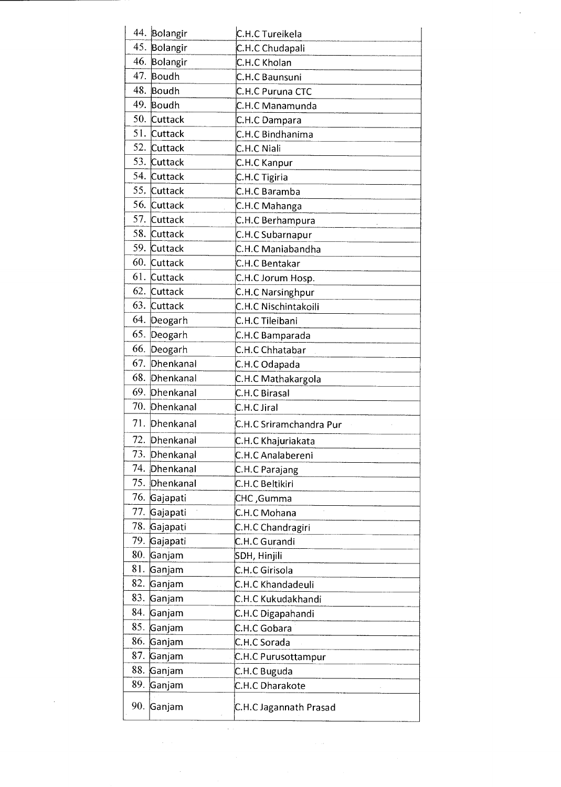|     | 44. Bolangir  | C.H.C Tureikela         |
|-----|---------------|-------------------------|
|     | 45. Bolangir  | C.H.C Chudapali         |
|     | 46. Bolangir  | C.H.C Kholan            |
|     | 47. Boudh     | C.H.C Baunsuni          |
|     | 48. Boudh     | C.H.C Puruna CTC        |
|     | 49. Boudh     | C.H.C Manamunda         |
|     | 50. Cuttack   | C.H.C Dampara           |
|     | 51. Cuttack   | C.H.C Bindhanima        |
|     | 52. Cuttack   | C.H.C Niali             |
|     | 53. Cuttack   | C.H.C Kanpur            |
|     | 54. Cuttack   | C.H.C Tigiria           |
|     | 55, Cuttack   | C.H.C Baramba           |
|     | 56. Cuttack   | C.H.C Mahanga           |
|     | 57. Cuttack   | C.H.C Berhampura        |
|     | 58. Cuttack   | C.H.C Subarnapur        |
|     | 59. Cuttack   | C.H.C Maniabandha       |
|     | 60. Cuttack   | C.H.C Bentakar          |
|     | 61. Cuttack   | C.H.C Jorum Hosp.       |
|     | 62. Cuttack   | C.H.C Narsinghpur       |
|     | 63. Cuttack   | C.H.C Nischintakoili    |
|     | 64. Deogarh   | C.H.C Tileibani         |
|     | 65. Deogarh   | C.H.C Bamparada         |
|     | 66. Deogarh   | C.H.C Chhatabar         |
|     | 67. Dhenkanal | C.H.C Odapada           |
|     | 68. Dhenkanal | C.H.C Mathakargola      |
|     | 69. Dhenkanal | C.H.C Birasal           |
|     | 70. Dhenkanal | C.H.C Jiral             |
|     | 71. Dhenkanal | C.H.C Sriramchandra Pur |
| 72. | Dhenkanal     | C.H.C Khajuriakata      |
| 73. | Dhenkanal     | C.H.C Analabereni       |
| 74. | Dhenkanal     | C.H.C Parajang          |
| 75. | Dhenkanal     | C.H.C Beltikiri         |
|     | 76. Gajapati  | CHC ,Gumma              |
| 77. | Gajapati      | C.H.C Mohana            |
| 78. | Gajapati      | C.H.C Chandragiri       |
|     | 79. Gajapati  | C.H.C Gurandi           |
| 80. | Ganjam        | SDH, Hinjili            |
| 81. | Ganjam        | C.H.C Girisola          |
| 82. | Ganjam        | C.H.C Khandadeuli       |
| 83. | Ganjam        | C.H.C Kukudakhandi      |
| 84. | Ganjam        | C.H.C Digapahandi       |
|     | 85. Ganjam    | C.H.C Gobara            |
| 86. | Ganjam        | C.H.C Sorada            |
| 87. | Ganjam        | C.H.C Purusottampur     |
| 88. | Ganjam        | C.H.C Buguda            |
| 89. | Ganjam        | C.H.C Dharakote         |
|     | 90. Ganjam    | C.H.C Jagannath Prasad  |

 $\label{eq:2} \begin{split} \frac{1}{\sqrt{2}}\frac{1}{\sqrt{2}}\frac{1}{\sqrt{2}}\frac{1}{\sqrt{2}}\frac{1}{\sqrt{2}}\frac{1}{\sqrt{2}}\frac{1}{\sqrt{2}}\frac{1}{\sqrt{2}}\frac{1}{\sqrt{2}}\frac{1}{\sqrt{2}}\frac{1}{\sqrt{2}}\frac{1}{\sqrt{2}}\frac{1}{\sqrt{2}}\frac{1}{\sqrt{2}}\frac{1}{\sqrt{2}}\frac{1}{\sqrt{2}}\frac{1}{\sqrt{2}}\frac{1}{\sqrt{2}}\frac{1}{\sqrt{2}}\frac{1}{\sqrt{2}}\frac{1}{\sqrt{$ 

 $\hat{\boldsymbol{\beta}}$ 

 $\mathcal{L}_{\mathcal{A}}$ 

 $\sim$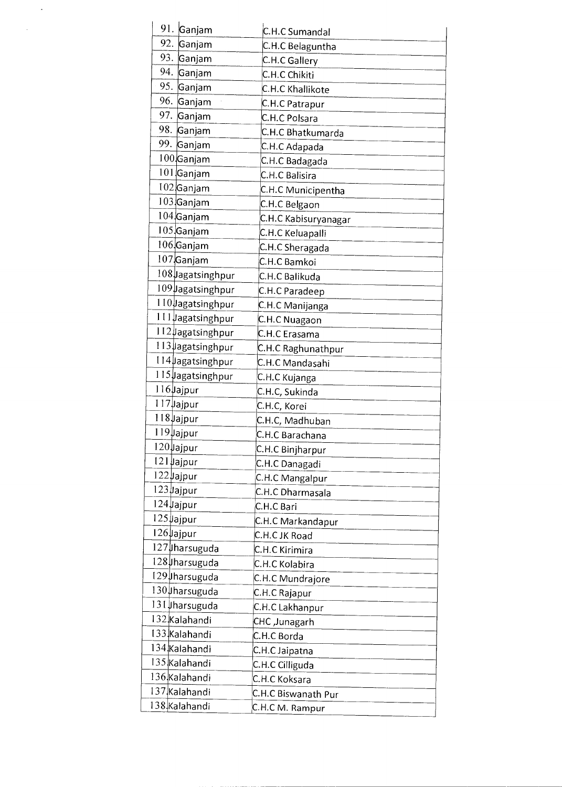| 91.<br>Ganjam     | C.H.C Sumandal       |
|-------------------|----------------------|
| 92.<br>Ganjam     | C.H.C Belaguntha     |
| 93. Ganjam        | C.H.C Gallery        |
| 94. Ganjam        | C.H.C Chikiti        |
| 95. Ganjam        | C.H.C Khallikote     |
| 96. Ganjam        | C.H.C Patrapur       |
| 97. Ganjam        | C.H.C Polsara        |
| 98. Ganjam        | C.H.C Bhatkumarda    |
| 99. Ganjam        | C.H.C Adapada        |
| $100$ Ganjam      | C.H.C Badagada       |
| 101 Ganjam        | C.H.C Balisira       |
| 102 Ganjam        | C.H.C Municipentha   |
| $103$ Ganjam      | C.H.C Belgaon        |
| 104 Ganjam        | C.H.C Kabisuryanagar |
| $105$ Ganjam      | C.H.C Keluapalli     |
| $106$ Ganjam      | C.H.C Sheragada      |
| $107$ Ganjam      | C.H.C Bamkoi         |
| 108 Jagatsinghpur | C.H.C Balikuda       |
| 109 Jagatsinghpur | C.H.C Paradeep       |
| 110 Jagatsinghpur | C.H.C Manijanga      |
| 111 Jagatsinghpur | C.H.C Nuagaon        |
| 112 Jagatsinghpur | C.H.C Erasama        |
| 113 Jagatsinghpur | C.H.C Raghunathpur   |
| 114 Jagatsinghpur | C.H.C Mandasahi      |
| 115 Jagatsinghpur | C.H.C Kujanga        |
| 116 Jajpur        | C.H.C, Sukinda       |
| 117 yajpur        | C.H.C, Korei         |
| 118 Jajpur        | C.H.C, Madhuban      |
| 119 Jajpur        | C.H.C Barachana      |
| 120 Jajpur        | C.H.C Binjharpur     |
| 121 Jajpur        | C.H.C Danagadi       |
| 122 Jajpur        | C.H.C Mangalpur      |
| $123$ ajpur       | C.H.C Dharmasala     |
| 124 Jajpur        | C.H.C Bari           |
| $125 \mu$ ajpur   | C.H.C Markandapur    |
| $126$ Jajpur      | C.H.C JK Road        |
| 127 Jharsuguda    | C.H.C Kirimira       |
| 128 harsuguda     | C.H.C Kolabira       |
| 129 µharsuguda    | C.H.C Mundrajore     |
| 130 harsuguda     | C.H.C Rajapur        |
| 131   harsuguda   | C.H.C Lakhanpur      |
| 132 Kalahandi     | CHC ,Junagarh        |
| 133 Kalahandi     | C.H.C Borda          |
| 134 Kalahandi     | C.H.C Jaipatna       |
| 135 Kalahandi     | C.H.C Cilliguda      |
| 136 Kalahandi     | C.H.C Koksara        |
| 137 Kalahandi     | C.H.C Biswanath Pur  |
| 138 Kalahandi     | C.H.C M. Rampur      |

 $\hat{\mathcal{A}}$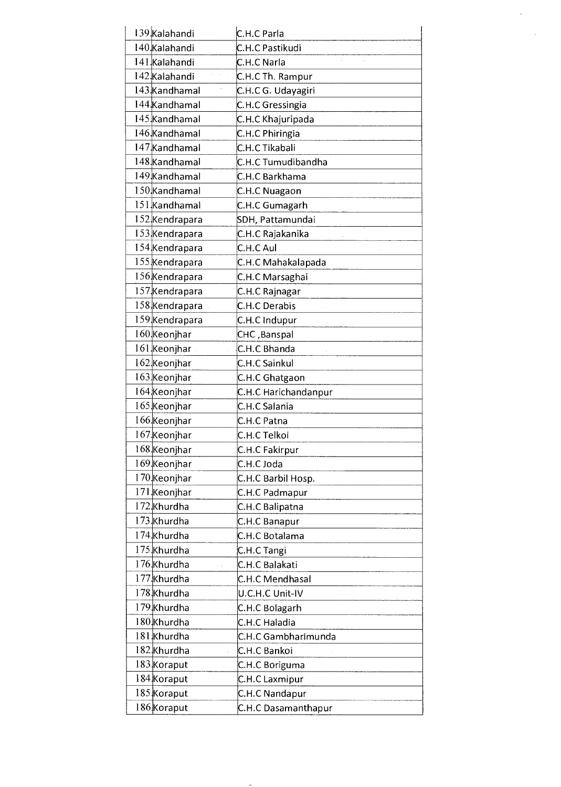| 139 Kalahandi  | C.H.C Parla          |
|----------------|----------------------|
| 140 Kalahandi  | C.H.C Pastikudi      |
| 141 Kalahandi  | C.H.C Narla          |
| 142 Kalahandi  | C.H.C Th. Rampur     |
| 143 Kandhamal  | C.H.C G. Udayagiri   |
| 144 Kandhamal  | C.H.C Gressingia     |
| 145 Kandhamal  | C.H.C Khajuripada    |
| 146 Kandhamal  | C.H.C Phiringia      |
| 147 Kandhamal  | C.H.C Tikabali       |
| 148 Kandhamal  | C.H.C Tumudibandha   |
| 149 Kandhamal  | C.H.C Barkhama       |
| 150 Kandhamal  | C.H.C Nuagaon        |
| 151 Kandhamal  | C.H.C Gumagarh       |
| 152 Kendrapara | SDH, Pattamundai     |
| 153 Kendrapara | C.H.C Rajakanika     |
| 154 Kendrapara | C.H.C Aul            |
| 155 Kendrapara | C.H.C Mahakalapada   |
| 156 Kendrapara | C.H.C Marsaghai      |
| 157 Kendrapara | C.H.C Rajnagar       |
| 158 Kendrapara | C.H.C Derabis        |
| 159 Kendrapara | C.H.C Indupur        |
| 160 Keonjhar   | CHC, Banspal         |
| 161 Keonjhar   | C.H.C Bhanda         |
| 162 Keonjhar   | C.H.C Sainkul        |
| 163 Keonjhar   | C.H.C Ghatgaon       |
| 164 Keonjhar   | C.H.C Harichandanpur |
| 165 Keonjhar   | C.H.C Salania        |
| 166 Keonjhar   | C.H.C Patna          |
| 167 Keonjhar   | C.H.C Telkoi         |
| 168 Keonjhar   | C.H.C Fakirpur       |
| 169 Keonjhar   | C.H.C Joda           |
| 170 Keonjhar   | C.H.C Barbil Hosp.   |
| 171 Keonjhar   | C.H.C Padmapur       |
| 172 Khurdha    | C.H.C Balipatna      |
| 173 Khurdha    | C.H.C Banapur        |
| 174 Khurdha    | C.H.C Botalama       |
| 175 Khurdha    | C.H.C Tangi          |
| 176 Khurdha    | C.H.C Balakati       |
| 177 Khurdha    | C.H.C Mendhasal      |
| 178 Khurdha    | U.C.H.C Unit-IV      |
| 179 Khurdha    | C.H.C Bolagarh       |
| 180 Khurdha    | C.H.C Haladia        |
| 181 Khurdha    | C.H.C Gambharimunda  |
| 182 Khurdha    | C.H.C Bankoi         |
| 183 Koraput    | C.H.C Boriguma       |
| 184 Koraput    | C.H.C Laxmipur       |
| 185 Koraput    | C.H.C Nandapur       |
| 186 Koraput    | C.H.C Dasamanthapur  |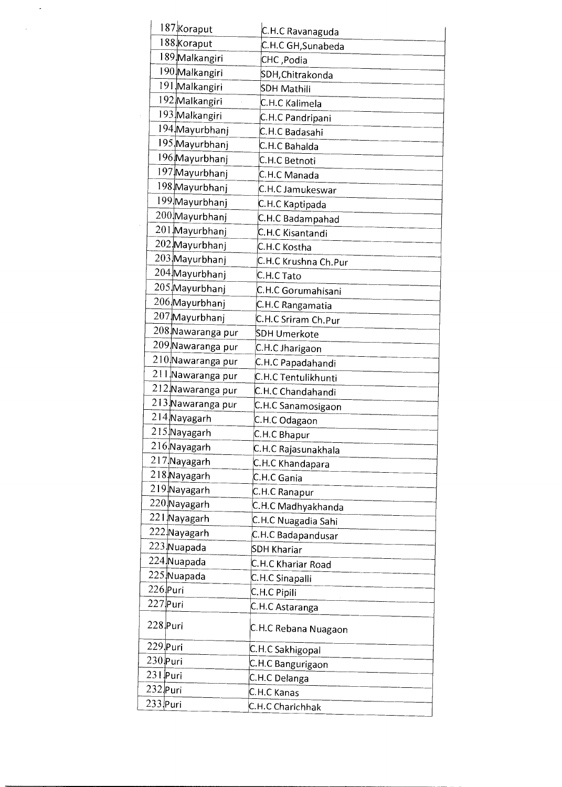| 187 Koraput       | C.H.C Ravanaguda     |
|-------------------|----------------------|
| 188 Koraput       | C.H.C GH, Sunabeda   |
| 189 Malkangiri    | CHC, Podia           |
| 190 Malkangiri    | SDH, Chitrakonda     |
| 191 Malkangiri    | SDH Mathili          |
| 192 Malkangiri    | C.H.C Kalimela       |
| 193 Malkangiri    | C.H.C Pandripani     |
| 194 Mayurbhanj    | C.H.C Badasahi       |
| 195 Mayurbhanj    | C.H.C Bahalda        |
| 196 Mayurbhanj    | C.H.C Betnoti        |
| 197 Mayurbhanj    | C.H.C Manada         |
| 198 Mayurbhanj    | C.H.C Jamukeswar     |
| 199 Mayurbhanj    | C.H.C Kaptipada      |
| 200 Mayurbhanj    | C.H.C Badampahad     |
| 201 Mayurbhanj    | C.H.C Kisantandi     |
| 202 Mayurbhanj    | C.H.C Kostha         |
| 203 Mayurbhanj    | C.H.C Krushna Ch.Pur |
| 204 Mayurbhanj    | C.H.C Tato           |
| 205 Mayurbhanj    | C.H.C Gorumahisani   |
| 206 Mayurbhanj    | C.H.C Rangamatia     |
| 207 Mayurbhanj    | C.H.C Sriram Ch.Pur  |
| 208 Nawaranga pur | SDH Umerkote         |
| 209 Nawaranga pur | C.H.C Jharigaon      |
| 210 Nawaranga pur | C.H.C Papadahandi    |
| 211 Nawaranga pur | C.H.C Tentulikhunti  |
| 212 Nawaranga pur | C.H.C Chandahandi    |
| 213 Nawaranga pur | C.H.C Sanamosigaon   |
| 214 Nayagarh      | C.H.C Odagaon        |
| 215 Nayagarh      | C.H.C Bhapur         |
| 216 Nayagarh      | C.H.C Rajasunakhala  |
| 217 Nayagarh      | C.H.C Khandapara     |
| 218 Nayagarh      | C.H.C Gania          |
| 219 Nayagarh      | C.H.C Ranapur        |
| 220 Nayagarh      | C.H.C Madhyakhanda   |
| 221 Nayagarh      | C.H.C Nuagadia Sahi  |
| 222 Nayagarh      | C.H.C Badapandusar   |
| 223 Nuapada       | <b>SDH Khariar</b>   |
| 224 Nuapada       | C.H.C Khariar Road   |
| 225 Nuapada       | C.H.C Sinapalli      |
| 226 Puri          | C.H.C Pipili         |
| $227$ Puri        | C.H.C Astaranga      |
| 228 Puri          | C.H.C Rebana Nuagaon |
| 229 Puri          | C.H.C Sakhigopal     |
| 230 Puri          | C.H.C Bangurigaon    |
| 231 Puri          | C.H.C Delanga        |
| 232 Puri          | C.H.C Kanas          |
| $233$ Puri        | C.H.C Charichhak     |
|                   |                      |

 $\mathcal{L}_{\mathcal{L}}$ 

 $\mathcal{A}^{\mathcal{A}}$